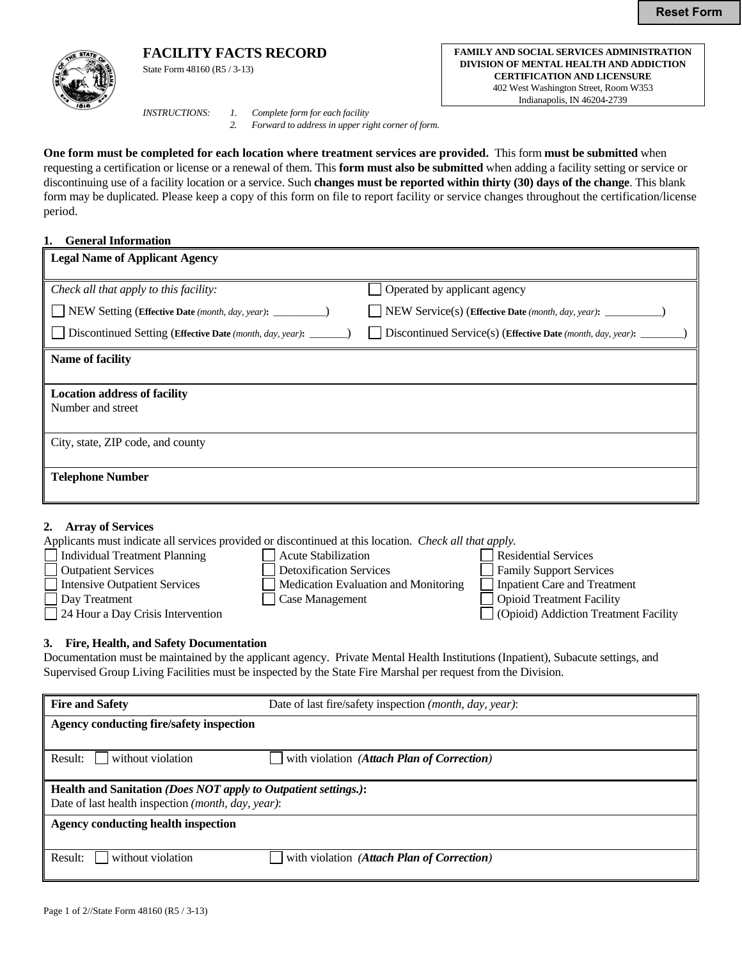# **FACILITY FACTS RECORD FAMILY AND SOCIAL SERVICES ADMINISTRATION**



State Form 48160 (R5 / 3-13)

*INSTRUCTIONS: 1. Complete form for each facility* 

 *2. Forward to address in upper right corner of form.*

**One form must be completed for each location where treatment services are provided.** This form **must be submitted** when requesting a certification or license or a renewal of them. This **form must also be submitted** when adding a facility setting or service or discontinuing use of a facility location or a service. Such **changes must be reported within thirty (30) days of the change**. This blank form may be duplicated. Please keep a copy of this form on file to report facility or service changes throughout the certification/license period.

## **1. General Information**

| Legal Name of Applicant Agency                                     |                                                               |
|--------------------------------------------------------------------|---------------------------------------------------------------|
| Check all that apply to this facility:                             | Operated by applicant agency                                  |
| NEW Setting (Effective Date (month, day, year): _________)         |                                                               |
| Discontinued Setting (Effective Date (month, day, year): ________) | Discontinued Service(s) (Effective Date (month, day, year): _ |
| <b>Name of facility</b>                                            |                                                               |
|                                                                    |                                                               |
| <b>Location address of facility</b>                                |                                                               |
| Number and street                                                  |                                                               |
|                                                                    |                                                               |
| City, state, ZIP code, and county                                  |                                                               |
|                                                                    |                                                               |
| <b>Telephone Number</b>                                            |                                                               |
|                                                                    |                                                               |

#### **2. Array of Services**

Applicants must indicate all services provided or discontinued at this location. *Check all that apply.*

- Individual Treatment Planning Acute Stabilization Residential Services Outpatient Services **Detoxification Services** Family Support Services Intensive Outpatient Services Medication Evaluation and Monitoring Inpatient Care and Treatment
- Day Treatment **Case Management** Case Management **Case Management** Opioid Treatment Facility 24 Hour a Day Crisis Intervention (Opioid) Addiction Treatment Facility

**DIVISION OF MENTAL HEALTH AND ADDICTION CERTIFICATION AND LICENSURE** 402 West Washington Street, Room W353 Indianapolis, IN 46204-2739

## **3. Fire, Health, and Safety Documentation**

Documentation must be maintained by the applicant agency. Private Mental Health Institutions (Inpatient), Subacute settings, and Supervised Group Living Facilities must be inspected by the State Fire Marshal per request from the Division.

| <b>Fire and Safety</b>                                                                                                                         | Date of last fire/safety inspection (month, day, year): |  |  |  |  |
|------------------------------------------------------------------------------------------------------------------------------------------------|---------------------------------------------------------|--|--|--|--|
| Agency conducting fire/safety inspection                                                                                                       |                                                         |  |  |  |  |
| without violation<br>Result:                                                                                                                   | with violation (Attach Plan of Correction)              |  |  |  |  |
| Health and Sanitation (Does NOT apply to Outpatient settings.):<br>Date of last health inspection ( <i>month</i> , <i>day</i> , <i>year</i> ): |                                                         |  |  |  |  |
| <b>Agency conducting health inspection</b>                                                                                                     |                                                         |  |  |  |  |
| without violation<br>Result:                                                                                                                   | with violation (Attach Plan of Correction)              |  |  |  |  |